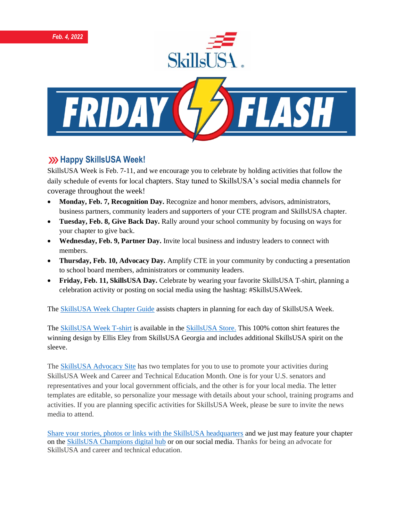

## **XXX Happy SkillsUSA Week!**

SkillsUSA Week is Feb. 7-11, and we encourage you to celebrate by holding activities that follow the daily schedule of events for local chapters. Stay tuned to SkillsUSA's social media channels for coverage throughout the week!

- **Monday, Feb. 7, Recognition Day.** Recognize and honor members, advisors, administrators, business partners, community leaders and supporters of your CTE program and SkillsUSA chapter.
- **Tuesday, Feb. 8, Give Back Day.** Rally around your school community by focusing on ways for your chapter to give back.
- **Wednesday, Feb. 9, Partner Day.** Invite local business and industry leaders to connect with members.
- **Thursday, Feb. 10, Advocacy Day.** Amplify CTE in your community by conducting a presentation to school board members, administrators or community leaders.
- **Friday, Feb. 11, SkillsUSA Day.** Celebrate by wearing your favorite SkillsUSA T-shirt, planning a celebration activity or posting on social media using the hashtag: #SkillsUSAWeek.

The [SkillsUSA Week Chapter Guide](https://www.skillsusa.org/events-training/skillsusa-week/) assists chapters in planning for each day of SkillsUSA Week.

The [SkillsUSA Week T-shirt](https://skillsusastore.org/products/812925) is available in the [SkillsUSA Store.](https://skillsusastore.org/) This 100% cotton shirt features the winning design by Ellis Eley from SkillsUSA Georgia and includes additional SkillsUSA spirit on the sleeve.

The [SkillsUSA Advocacy Site](https://www.congressweb.com/susa/#/) has two templates for you to use to promote your activities during SkillsUSA Week and Career and Technical Education Month. One is for your U.S. senators and representatives and your local government officials, and the other is for your local media. The letter templates are editable, so personalize your message with details about your school, training programs and activities. If you are planning specific activities for SkillsUSA Week, please be sure to invite the news media to attend.

[Share your stories, photos or links with the SkillsUSA headquarters](https://skillsusachampions.org/submit-a-story/) and we just may feature your chapter on the [SkillsUSA Champions digital hub](http://champions.skillsusa.org/) or on our social media. Thanks for being an advocate for SkillsUSA and career and technical education.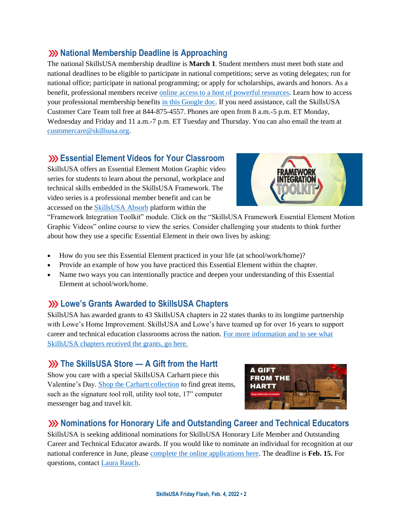### **National Membership Deadline is Approaching**

The national SkillsUSA membership deadline is **March 1**. Student members must meet both state and national deadlines to be eligible to participate in national competitions; serve as voting delegates; run for national office; participate in national programming; or apply for scholarships, awards and honors. As a benefit, professional members receive [online access to a host of powerful resources.](https://www.skillsusa.org/accordions/benefits-of-membership/) Learn how to access your professional membership benefits [in this Google doc.](https://docs.google.com/document/d/1d2EvwsmdelNzm-WK7pTGSokJTbWZXcFDOODai32SGzk/edit) If you need assistance, call the SkillsUSA Customer Care Team toll free at 844-875-4557. Phones are open from 8 a.m.-5 p.m. ET Monday, Wednesday and Friday and 11 a.m.-7 p.m. ET Tuesday and Thursday. You can also email the team at [customercare@skillsusa.org.](mailto:customercare@skillsusa.org)

### **Essential Element Videos for Your Classroom**

SkillsUSA offers an Essential Element Motion Graphic video series for students to learn about the personal, workplace and technical skills embedded in the SkillsUSA Framework. The video series is a professional member benefit and can be accessed on the [SkillsUSA Absorb](http://absorb.skillsusa.org/) platform within the



"Framework Integration Toolkit" module. Click on the "SkillsUSA Framework Essential Element Motion Graphic Videos" online course to view the series. Consider challenging your students to think further about how they use a specific Essential Element in their own lives by asking:

- How do you see this Essential Element practiced in your life (at school/work/home)?
- Provide an example of how you have practiced this Essential Element within the chapter.
- Name two ways you can intentionally practice and deepen your understanding of this Essential Element at school/work/home.

## **Lowe's Grants Awarded to SkillsUSA Chapters**

SkillsUSA has awarded grants to 43 SkillsUSA chapters in 22 states thanks to its longtime partnership with Lowe's Home Improvement. SkillsUSA and Lowe's have teamed up for over 16 years to support career and technical education classrooms across the nation. [For more information and to see what](https://www.skillsusa.org/lowes-grants-awarded-to-skillsusa-chapters/)  [SkillsUSA chapters received the grants, go here.](https://www.skillsusa.org/lowes-grants-awarded-to-skillsusa-chapters/)

## **XX** The SkillsUSA Store — A Gift from the Hartt

Show you care with a special SkillsUSA Carhartt piece this Valentine's Day. [Shop the Carhartt](https://www.skillsusastore.org/products?s%5Bkeyword%5D=Carhartt) collection to find great items, such as the signature tool roll, utility tool tote, 17" computer messenger bag and travel kit.



## **XX** Nominations for Honorary Life and Outstanding Career and Technical Educators

SkillsUSA is seeking additional nominations for SkillsUSA Honorary Life Member and Outstanding Career and Technical Educator awards. If you would like to nominate an individual for recognition at our national conference in June, please [complete the online applications here.](https://www.skillsusa.org/membership-resources/awards/) The deadline is **Feb. 15.** For questions, contac[t Laura Rauch.](mailto:lrauch@skillsusa.org)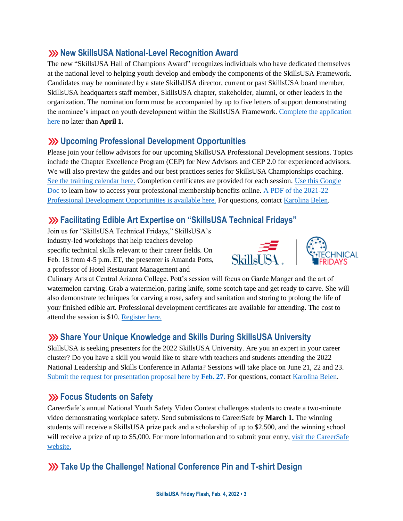### **XX New SkillsUSA National-Level Recognition Award**

The new "SkillsUSA Hall of Champions Award" recognizes individuals who have dedicated themselves at the national level to helping youth develop and embody the components of the SkillsUSA Framework. Candidates may be nominated by a state SkillsUSA director, current or past SkillsUSA board member, SkillsUSA headquarters staff member, SkillsUSA chapter, stakeholder, alumni, or other leaders in the organization. The nomination form must be accompanied by up to five letters of support demonstrating the nominee's impact on youth development within the SkillsUSA Framework[. Complete the application](https://skillsusa.wufoo.com/forms/skillsusa-hall-of-champions-award/)  [here](https://skillsusa.wufoo.com/forms/skillsusa-hall-of-champions-award/) no later than **April 1.**

#### **Upcoming Professional Development Opportunities**

Please join your fellow advisors for our upcoming SkillsUSA Professional Development sessions. Topics include the Chapter Excellence Program (CEP) for New Advisors and CEP 2.0 for experienced advisors. We will also preview the guides and our best practices series for SkillsUSA Championships coaching. [See the training calendar here.](https://www.skillsusa.org/events-training/) Completion certificates are provided for each session. [Use this Google](https://docs.google.com/document/d/1d2EvwsmdelNzm-WK7pTGSokJTbWZXcFDOODai32SGzk/edit)  [Doc](https://docs.google.com/document/d/1d2EvwsmdelNzm-WK7pTGSokJTbWZXcFDOODai32SGzk/edit) to learn how to access your professional membership benefits online. [A PDF of the 2021-22](https://www.skillsusa.org/wp-content/uploads/2021/09/SkillsUSA-2021-Professional-Development-Opportunities-v9.pdf)  [Professional Development Opportunities is available here.](https://www.skillsusa.org/wp-content/uploads/2021/09/SkillsUSA-2021-Professional-Development-Opportunities-v9.pdf) For questions, contact [Karolina Belen.](mailto:kbelen@skillsusa.org)

## **Facilitating Edible Art Expertise on "SkillsUSA Technical Fridays"**

Join us for "SkillsUSA Technical Fridays," SkillsUSA's industry-led workshops that help teachers develop specific technical skills relevant to their career fields. On Feb. 18 from 4-5 p.m. ET, the presenter is Amanda Potts, a professor of Hotel Restaurant Management and





Culinary Arts at Central Arizona College. Pott's session will focus on Garde Manger and the art of watermelon carving. Grab a watermelon, paring knife, some scotch tape and get ready to carve. She will also demonstrate techniques for carving a rose, safety and sanitation and storing to prolong the life of your finished edible art. Professional development certificates are available for attending. The cost to attend the session is \$10. [Register here.](https://skillsusa.wufoo.com/forms/love-and-logic-and-technical-fridays-registration)

# **Share Your Unique Knowledge and Skills During SkillsUSA University**

SkillsUSA is seeking presenters for the 2022 SkillsUSA University. Are you an expert in your career cluster? Do you have a skill you would like to share with teachers and students attending the 2022 National Leadership and Skills Conference in Atlanta? Sessions will take place on June 21, 22 and 23. [Submit the request for presentation proposal here by](https://docs.google.com/forms/d/e/1FAIpQLSdAZNVdpwIoexVeA84Wenhjh0g0_3Km2r7RtNXo6B02Btl1DQ/viewform) **Feb. 27**. For questions, contac[t Karolina Belen.](mailto:kbelen@skillsusa.org)

## **EXECUS** Students on Safety

CareerSafe's annual National Youth Safety Video Contest challenges students to create a two-minute video demonstrating workplace safety. Send submissions to CareerSafe by **March 1.** The winning students will receive a SkillsUSA prize pack and a scholarship of up to \$2,500, and the winning school will receive a prize of up to \$5,000. For more information and to submit your entry, visit the CareerSafe [website.](https://www.careersafeonline.com/scholarships/video-contest)

# **XX** Take Up the Challenge! National Conference Pin and T-shirt Design